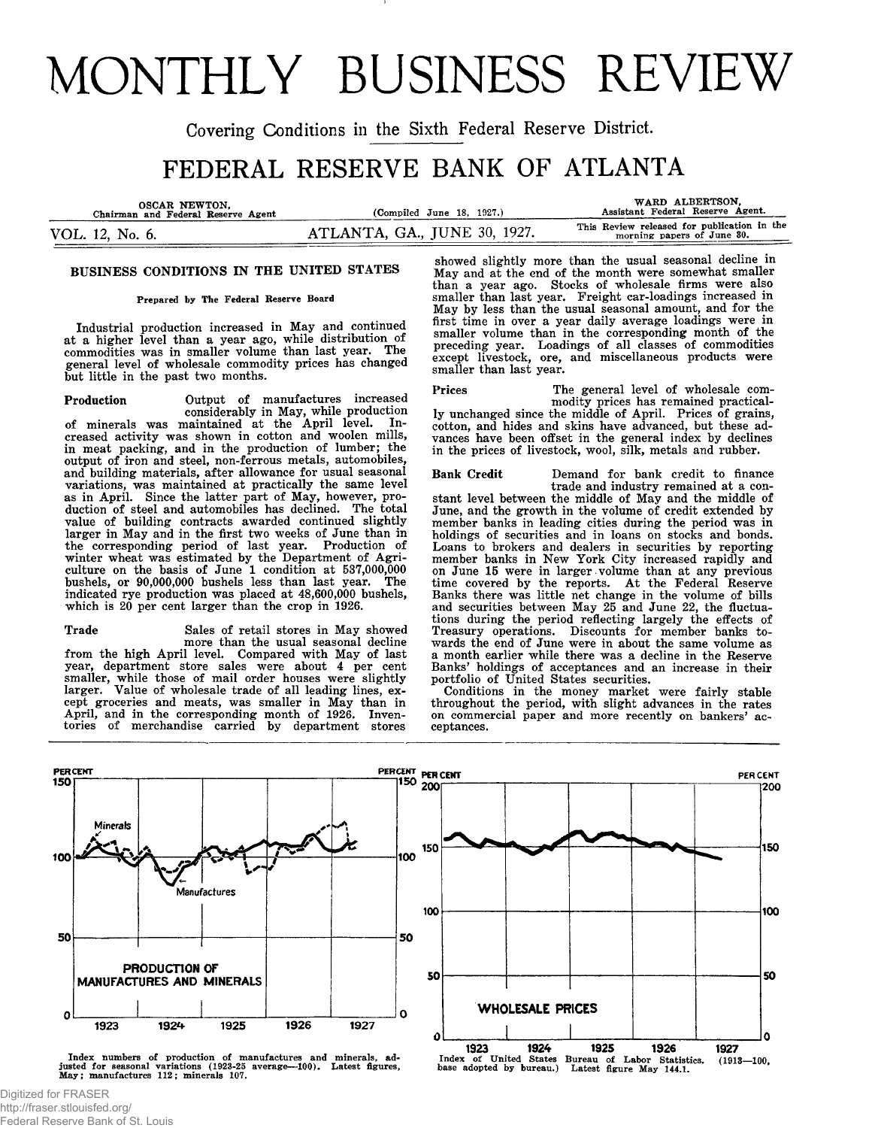# MONTHLY BUSINESS REVIEW

**Covering Conditions in the Sixth Federal Reserve District.**

## FEDERAL RESERVE BANK OF ATLANTA

| OSCAR NEWTON.<br>Chairman and Federal Reserve Agent | (Compiled June 18, 1927.)    | WARD ALBERTSON,<br>Assistant Federal Reserve Agent.                       |
|-----------------------------------------------------|------------------------------|---------------------------------------------------------------------------|
| VOL. 12, No. 6.                                     | ATLANTA, GA., JUNE 30, 1927. | This Review released for publication in the<br>morning papers of June 30. |

### **BUSINESS CONDITIONS IN THE UNITED STATES**

### **Prepared by The Federal Reserve Board**

**Industrial production increased in May and continued at a higher level than a year ago, while distribution of commodities was in smaller volume than last year. The general level of wholesale commodity prices has changed but little in the past two months.**

**Production Output of manufactures increased considerably in May, while production of minerals was maintained at the April level. Increased activity was shown in cotton and woolen mills, in meat packing, and in the production of lumber; the output of iron and steel, non-ferrous metals, automobiles, and building materials, after allowance for usual seasonal variations, was maintained at practically the same level as in April. Since the latter part of May, however, production of steel and automobiles has declined. The total value of building contracts awarded continued slightly larger in May and in the first two weeks of June than in the corresponding period of last year. Production of winter wheat was estimated by the Department of Agriculture on the basis of June 1 condition at 537,000,000 bushels, or 90,000,000 bushels less than last year. The indicated rye production was placed at 48,600,000 bushels, which is 20 per cent larger than the crop in 1926.**

**cept groceries and meats, was smaller in May than in April, and in the corresponding month of 1926. Inventories of merchandise carried by department stores**

**Trade Sales of retail stores in May showed more than the usual seasonal decline from the high April level. Compared with May of last year, department store sales were about 4 per cent smaller, while those of mail order houses were slightly larger. Value of wholesale trade of all leading lines, ex-**

**showed slightly more than the usual seasonal decline in May and at the end of the month were somewhat smaller than a year ago. Stocks of wholesale firms were also smaller than last year. Freight car-loadings increased in May by less than the usual seasonal amount, and for the first time in over a year daily average loadings were in smaller volume than in the corresponding month of the preceding year. Loadings of all classes of commodities except livestock, ore, and miscellaneous products were smaller than last year.**

**Prices The general level of wholesale commodity prices has remained practically unchanged since the middle of April. Prices of grains, cotton, and hides and skins have advanced, but these advances have been offset in the general index by declines in the prices of livestock, wool, silk, metals and rubber.**

**Bank Credit Demand for bank credit to finance trade and industry remained at a constant level between the middle of May and the middle of June, and the growth in the volume of credit extended by member banks in leading cities during the period was in holdings of securities and in loans on stocks and bonds. Loans to brokers and dealers in securities by reporting member banks in New York City increased rapidly and on June 15 were in larger volume than at any previous time covered by the reports. At the Federal Reserve Banks there was little net change in the volume of bills and securities between May 25 and June 22, the fluctuations during the period reflecting largely the effects of Treasury operations. Discounts for member banks towards the end of June were in about the same volume as a month earlier while there was a decline in the Reserve Banks' holdings of acceptances and an increase in their portfolio of United States securities.**

**Conditions in the money market were fairly stable throughout the period, with slight advances in the rates on commercial paper and more recently on bankers' acceptances.**



**Index numbers of production of manufactures and minerals, ad justed for seasonal variations (1923-25 average—100). Latest figures, May; manufactures 112; minerals 107.**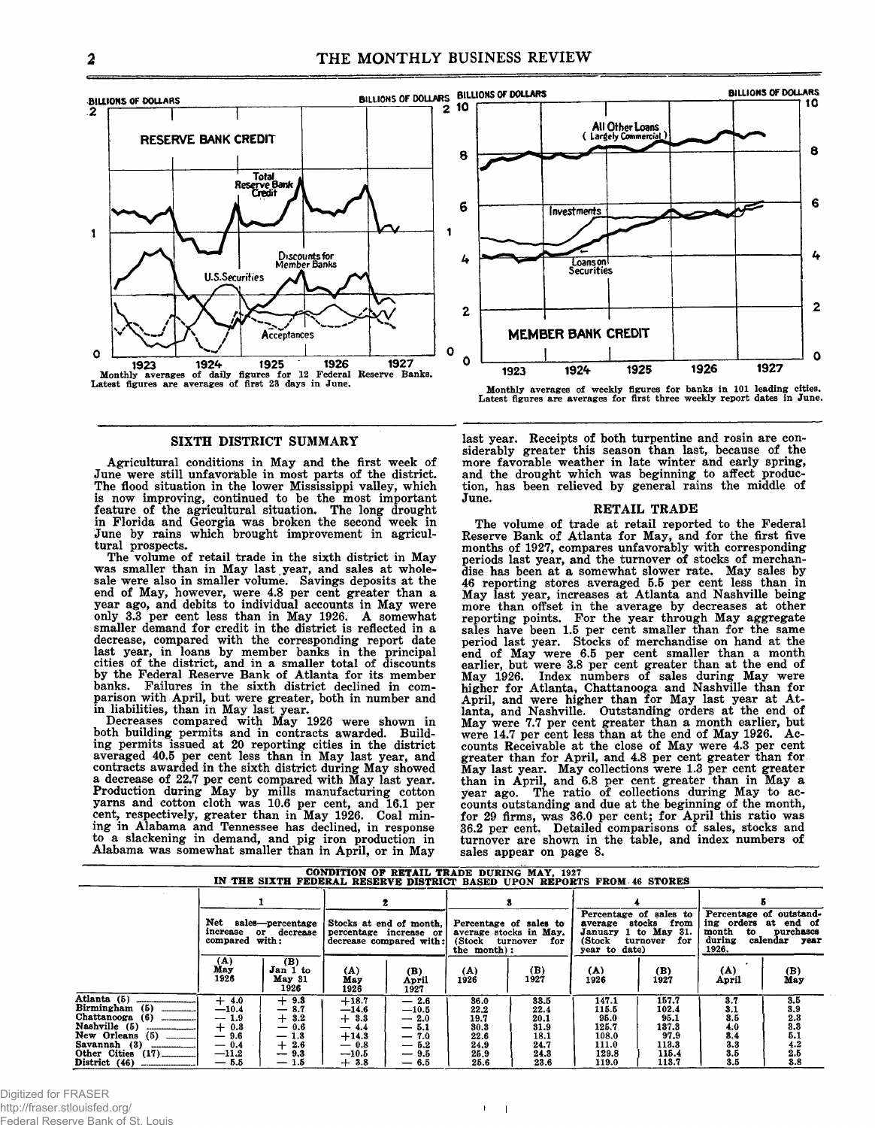

#### **SIXTH DISTRICT SUMMARY**

**Agricultural conditions in May and the first week of June were still unfavorable in most parts of the district. The flood situation in the lower Mississippi valley, which is now improving, continued to be the most important feature of the agricultural situation. The long drought in Florida and Georgia was broken the second week in June by rains which brought improvement in agricultural prospects.**

**The volume of retail trade in the sixth district in May was smaller than in May last year, and sales at wholesale were also in smaller volume. Savings deposits at the end of May, however, were 4.8 per cent greater than a year ago, and debits to individual accounts in May were only 3.3 per cent less than in May 1926. A somewhat smaller demand for credit in the district is reflected in a decrease, compared with the corresponding report date last year, in loans by member banks in the principal cities of the district, and in a smaller total of discounts by the Federal Reserve Bank of Atlanta for its member banks. Failures in the sixth district declined in comparison with April, but were greater, both in number and in liabilities, than in May last year.**

**Decreases compared with May 1926 were shown in both building permits and in contracts awarded. Building permits issued at 20 reporting cities in the district averaged 40.5 per cent less than in May last year, and contracts awarded in the sixth district during May showed a decrease of 22.7 per cent compared with May last year. Production during May by mills manufacturing cotton yarns and cotton cloth was 10.6 per cent, and 16.1 per cent, respectively, greater than in May 1926. Coal mining in Alabama and Tennessee has declined, in response to a slackening in demand, and pig iron production in Alabama was somewhat smaller than in April, or in May**



**Monthly averages of weekly figures for banks in 101 leading cities. Latest figures are averages for first three weekly report dates in June.**

**last year. Receipts of both turpentine and rosin are considerably greater this season than last, because of the more favorable weather in late winter and early spring, and the drought which was beginning to affect production, has been relieved by general rains the middle of June.**

#### **RETAIL TRADE**

**The volume of trade at retail reported to the Federal Reserve Bank of Atlanta for May, and for the first five months of 1927, compares unfavorably with corresponding periods last year, and the turnover of stocks of merchandise has been at a somewhat slower rate. May sales by 46 reporting stores averaged 5.5 per cent less than in May last year, increases at Atlanta and Nashville being more than offset in the average by decreases at other reporting points. For the year through May aggregate sales have been 1.5 per cent smaller than for the same period last year. Stocks of merchandise on hand at the end of May were 6.5 per cent smaller than a month earlier, but were 3.8 per cent greater than at the end of May 1926. Index numbers of sales during May were higher for Atlanta, Chattanooga and Nashville than for April, and were higher than for May last year at Atlanta, and Nashville. Outstanding orders at the end of May were 7.7 per cent greater than a month earlier, but were 14.7 per cent less than at the end of May 1926. Accounts Receivable at the close of May were 4.3 per cent greater than for April, and 4.8 per cent greater than for May last year. May collections were 1.3 per cent greater than in April, and 6.8 per cent greater than in May a year ago. The ratio of collections during May to accounts outstanding and due at the beginning of the month, for 29 firms, was 36.0 per cent; for April this ratio was 36.2 per cent. Detailed comparisons of sales, stocks and turnover are shown in the table, and index numbers of sales appear on page 8.**

|                                                                                                                                                                                                                                                |                                                                                      | IN THE SIXTH FEDERAL RESERVE DISTRICT BASED UPON REPORTS FROM 46 STORES                                                     |                                                                                  |                                                                               |                                                              | CONDITION OF RETAIL TRADE DURING MAY, 1927                   |                                                                                                                     |                                                                    |                                                        |                                                                    |
|------------------------------------------------------------------------------------------------------------------------------------------------------------------------------------------------------------------------------------------------|--------------------------------------------------------------------------------------|-----------------------------------------------------------------------------------------------------------------------------|----------------------------------------------------------------------------------|-------------------------------------------------------------------------------|--------------------------------------------------------------|--------------------------------------------------------------|---------------------------------------------------------------------------------------------------------------------|--------------------------------------------------------------------|--------------------------------------------------------|--------------------------------------------------------------------|
|                                                                                                                                                                                                                                                |                                                                                      |                                                                                                                             |                                                                                  |                                                                               |                                                              |                                                              |                                                                                                                     |                                                                    |                                                        |                                                                    |
|                                                                                                                                                                                                                                                | increase<br>compared with:                                                           | Net sales-percentage<br>or decrease                                                                                         |                                                                                  | Stocks at end of month.<br>percentage increase or<br>decrease compared with:  | (Stock turnover<br>the month):                               | Percentage of sales to<br>average stocks in May.<br>for      | Percentage of sales to<br>stocks from<br>average<br>January 1 to May 31.<br>(Stock<br>turnover for<br>year to date) |                                                                    | ing orders at end of<br>month<br>to<br>during<br>1926. | Percentage of outstand-<br>purchases<br>calendar year              |
|                                                                                                                                                                                                                                                | (A)<br>May<br>1926                                                                   | (B)<br>Jan 1 to<br>May 31<br>1926                                                                                           | (A)<br>May<br>1926                                                               | (B)<br>April<br>1927                                                          | $^{(A)}_{1926}$                                              | (B)<br>1927                                                  | $(\Lambda)$<br>1926                                                                                                 | (B)<br>1927                                                        | $\bullet$ .<br>(A)<br>April                            | (B)<br>May                                                         |
| Atlanta (5)<br>Birmingham (5)<br>--------------<br>Chattanooga (6)<br>Nashville (5)<br>---------------------<br>New Orleans (5) _______<br>Savannah (3)<br>------------------<br>Other Cities (17)<br>District (46)<br>----------------------- | 4.0<br>$+$<br>$-10.4$<br>$-1.9$<br>$+0.3$<br>9.6<br>—<br>$-0.4$<br>$-11.2$<br>$-5.5$ | $+9.3$<br>8.7<br>—<br>3.2<br>$-0.6$<br>1.3<br>$\overline{\phantom{0}}$<br>$+2.6$<br>$-9.3$<br>1.5<br>$\qquad \qquad \qquad$ | $+18.7$<br>$-14.6$<br>$+3.3$<br>$-4.4$<br>$+14.3$<br>$-0.8$<br>$-10.5$<br>$+3.8$ | $-2.6$<br>$-10.5$<br>$-2.0$<br>$-5.1$<br>$-7.0$<br>$-5.2$<br>$-9.5$<br>$-6.5$ | 36.0<br>22.2<br>19.7<br>30.3<br>22.6<br>24.9<br>25,9<br>25.6 | 33.5<br>22.4<br>20.1<br>31.9<br>18.1<br>24.7<br>24.3<br>23.6 | 147.1<br>115.5<br>95.0<br>125.7<br>108.0<br>111.0<br>129.8<br>119.0                                                 | 157.7<br>102.4<br>95.1<br>137.3<br>97.9<br>113.3<br>115.4<br>113.7 | 3.7<br>3.1<br>8.5<br>4.0<br>3.4<br>3.3<br>3.5<br>3.5   | 3.5<br>3.9<br>$\frac{2.3}{3.3}$<br>5.1<br>4.2<br>$\frac{2.5}{3.8}$ |

**I I**

Digitized for FRASER http://fraser.stlouisfed.org/ Federal Reserve Bank of St. Louis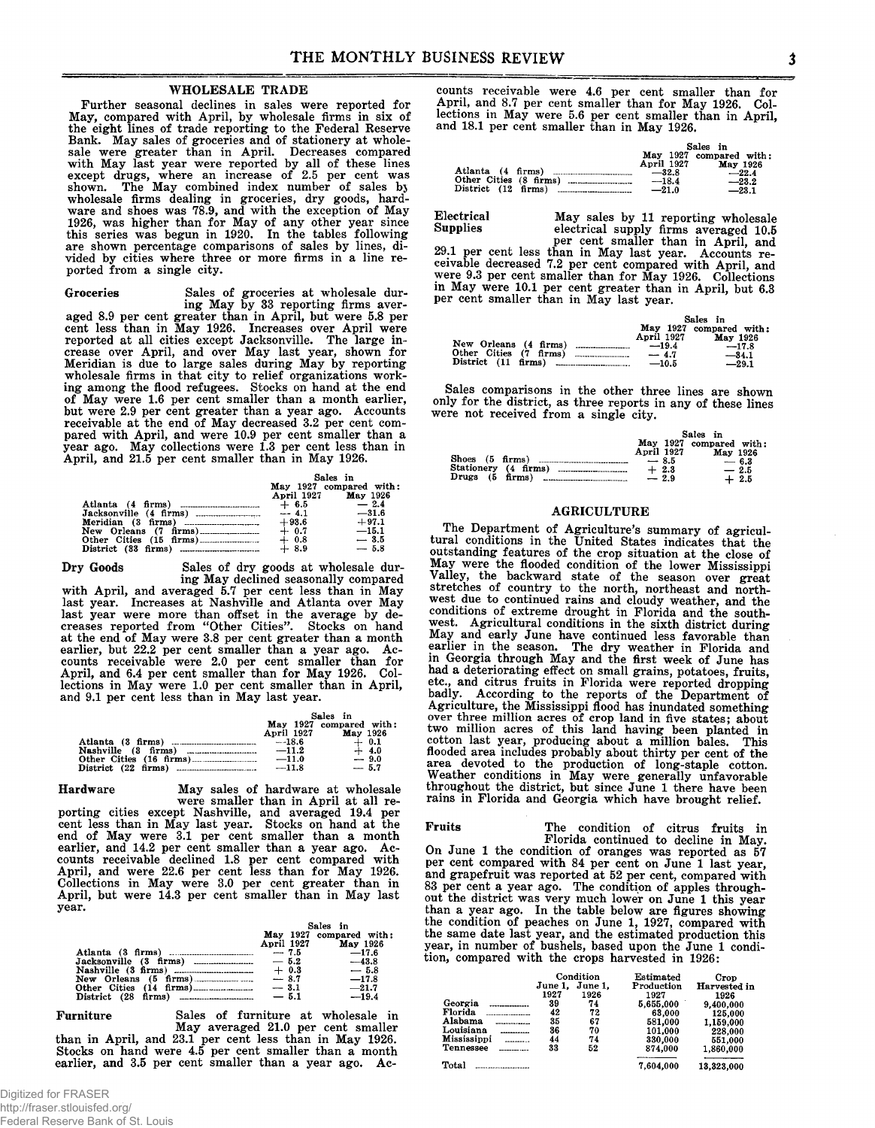#### **WHOLESALE TRADE**

**Further seasonal declines in sales were reported for May, compared with April, by wholesale firms in six of the eight lines of trade reporting to the Federal Reserve Bank. May sales of groceries and of stationery at wholesale were greater than in April. Decreases compared with May last year were reported by all of these lines except drugs, where an increase of 2.5 per cent was shown. The May combined index number of sales bj wholesale firms dealing in groceries, dry goods, hardware and shoes was 78.9, and with the exception of May 1926, was higher than for May of any other year since this series was begun in 1920. In the tables following are shown percentage comparisons of sales by lines, divided by cities where three or more firms in a line reported from a single city.**

**Groceries Sales of groceries at wholesale dur-**

**ing May by 33 reporting firms averaged 8.9 per cent greater than in April, but were 5.8 per cent less than in May 1926. Increases over April were reported at all cities except Jacksonville. The large increase over April, and over May last year, shown for Meridian is due to large sales during May by reporting wholesale firms in that city to relief organizations working among the flood refugees. Stocks on hand at the end of May were 1.6 per cent smaller than a month earlier, but were 2.9 per cent greater than a year ago. Accounts receivable at the end of May decreased 3.2 per cent compared with April, and were 10.9 per cent smaller than a year ago. May collections were 1.3 per cent less than in April, and 21.5 per cent smaller than in May 1926.**

| Sales in<br>May 1927 compared with: |         |
|-------------------------------------|---------|
| April 1927 May 1926                 |         |
| $+ 6.5$                             | $-2.4$  |
| $-4.1$                              | $-31.6$ |
| $+93.6$                             | $+97.1$ |
| $+ 0.7$                             | $-15.1$ |
| $-.8$                               | $-3.5$  |
| $+8.9$                              | $-5.8$  |

**Dry Goods Sales of dry goods at wholesale dur-**

**ing May declined seasonally compared with April, and averaged 5.7 per cent less than in May last year. Increases at Nashville and Atlanta over May last year were more than offset in the average by decreases reported from "Other Cities". Stocks on hand at the end of May were 3.8 per cent greater than a month** earlier, but 22.2 per cent smaller than a year ago. Ac**counts receivable were 2.0 per cent smaller than for April, and 6.4 per cent smaller than for May 1926. Collections in May were 1.0 per cent smaller than in April, and 9.1 per cent less than in May last year.**

|            | Sales in               |
|------------|------------------------|
|            | May 1927 compared with |
| April 1927 | <b>May 1926</b>        |
| $-18.6$    | $+ 0.1$                |
| $-11.2$    | $+ 4.0$                |
| $-11.0$    | $-9.0$                 |
| $-11.8$    | $-5.7$                 |
|            |                        |

Federal Reserve Bank of St. Louis

**Hardware May sales of hardware at wholesale**

**were smaller than in April at all reporting cities except Nashville, and averaged 19.4 per cent less than in May last year. Stocks on hand at the end of May were 3.1 per cent smaller than a month earlier, and 14.2 per cent smaller than a year ago. Accounts receivable declined 1.8 per cent compared with April, and were 22.6 per cent less than for May 1926. Collections in May were 3.0 per cent greater than in April, but were 14.3 per cent smaller than in May last year.**

|                                |            | Sales in                |
|--------------------------------|------------|-------------------------|
|                                |            | May 1927 compared with: |
|                                | April 1927 | <b>May 1926</b>         |
|                                | $-7.5$     | $-17.6$                 |
|                                | $-5.2$     | $-43.8$                 |
|                                | $+0.3$     | $-5.8$                  |
|                                | $-8.7$     | $-17.8$                 |
|                                | $-3.1$     | $-21.7$                 |
| District $(28$ firms) $\ldots$ | $-5.1$     | $-19.4$                 |

**Furniture Sales of furniture at wholesale in May averaged 21.0 per cent smaller than in April, and 23.1 per cent less than in May 1926. Stocks on hand were 4.5 per cent smaller than a month earlier, and 3.5 per cent smaller than a year ago. Ac-** **counts receivable were 4.6 per cent smaller than for April, and 8.7 per cent smaller than for May 1926. Collections in May were 5.6 per cent smaller than in April, and 18.1 per cent smaller than in May 1926.**

|                      |                                      |            | Sales in                |
|----------------------|--------------------------------------|------------|-------------------------|
|                      |                                      |            | May 1927 compared with: |
|                      |                                      | April 1927 | May 1926                |
|                      | Atlanta $(4 \text{ firms})$ ________ | $-32.8$    | $-22.4$                 |
|                      | Other Cities (8 firms)               | $-18.4$    | $-23.2$                 |
| District (12 firms). |                                      | $-21.0$    | $-23.1$                 |

**Electrical Supplies**

**May sales by 11 reporting wholesale electrical supply firms averaged 10.5 per cent smaller than in April, and**

**29.1 per cent less than in May last year. Accounts receivable decreased 7.2 per cent compared with April, and were 9.3 per cent smaller than for May 1926. Collections in May were 10.1 per cent greater than in April, but 6.3 per cent smaller than in May last year.**

|                        |  |            | Sales in |                         |
|------------------------|--|------------|----------|-------------------------|
|                        |  |            |          | May 1927 compared with: |
|                        |  | April 1927 |          | May 1926                |
| New Orleans (4 firms)  |  | $-19.4$    |          | $-17.8$                 |
| Other Cities (7 firms) |  | $-4.7$     |          | --- 34.1                |
| District (11 firms)    |  | $-10.5$    |          | $-29.1$                 |

**Sales comparisons in the other three lines are shown only for the district, as three reports in any of these lines were not received from a single city.**

|                      |        |                      | Sales in                |
|----------------------|--------|----------------------|-------------------------|
|                      |        |                      | May 1927 compared with: |
| Shoes (5 firms)      |        | April 1927<br>$-8.5$ | May 1926<br>$-6.3$      |
| Stationery (4 firms) |        | $+2.3$               | $-2.5$                  |
| Drugs (5             | firms) | $-2.9$               | $+2.5$                  |

#### **AGRICULTURE**

**The Department of Agriculture's summary of agricultural conditions in the United States indicates that the outstanding features of the crop situation at the close of May were the flooded condition of the lower Mississippi Valley, the backward state of the season over great stretches of country to the north, northeast and northwest due to continued rains and cloudy weather, and the conditions of extreme drought in Florida and the southwest. Agricultural conditions in the sixth district during May and early June have continued less favorable than earlier in the season. The dry weather in Florida and in Georgia through May and the first week of June has had a deteriorating effect on small grains, potatoes, fruits, exage a deterministic in Florida were reported dropping etc., and citrus fruits in Florida were reported dropping badly. According to the reports of the Department of Agriculture, the Mississippi flood has inundated something over three million acres of crop land in five states; about two million acres of this land having been planted in cotton last year, producing about a million bales. This flooded area includes probably about thirty per cent of the area devoted to the production of long-staple cotton. Weather conditions in May were generally unfavorable throughout the district, but since June 1 there have been rains in Florida and Georgia which have brought relief.**

**Fruits The condition of citrus fruits in Florida continued to decline in May. On June 1 the condition of oranges was reported as 57 per cent compared with 84 per cent on June 1 last year, and grapefruit was reported at 52 per cent, compared with 83 per cent a year ago. The condition of apples throughout the district was very much lower on June 1 this year than a year ago. In the table below are figures showing the condition of peaches on June 1, 1927, compared with the same date last year, and the estimated production this year, in number of bushels, based upon the June 1 condition, compared with the crops harvested in 1926:**

|             | Condition |         | Estimated  | Crop         |
|-------------|-----------|---------|------------|--------------|
|             | June 1.   | June 1. | Production | Harvested in |
|             | 1927      | 1926    | 1927       | 1926         |
| Georgia     | 39        | 74      | 5.655.000  | 9.400.000    |
| Florida     | 42        | 72      | 63,000     | 125,000      |
| Alabama     | 35        | 67      | 581,000    | 1,159,000    |
| Louisiana   | 36        | 70      | 101.000    | 228,000      |
| Mississippi | 44        | 74      | 330,000    | 551,000      |
| Tennessee   | 33        | 52      | 874.000    | 1,860,000    |
| Total       |           |         | 7.604.000  | 13,323,000   |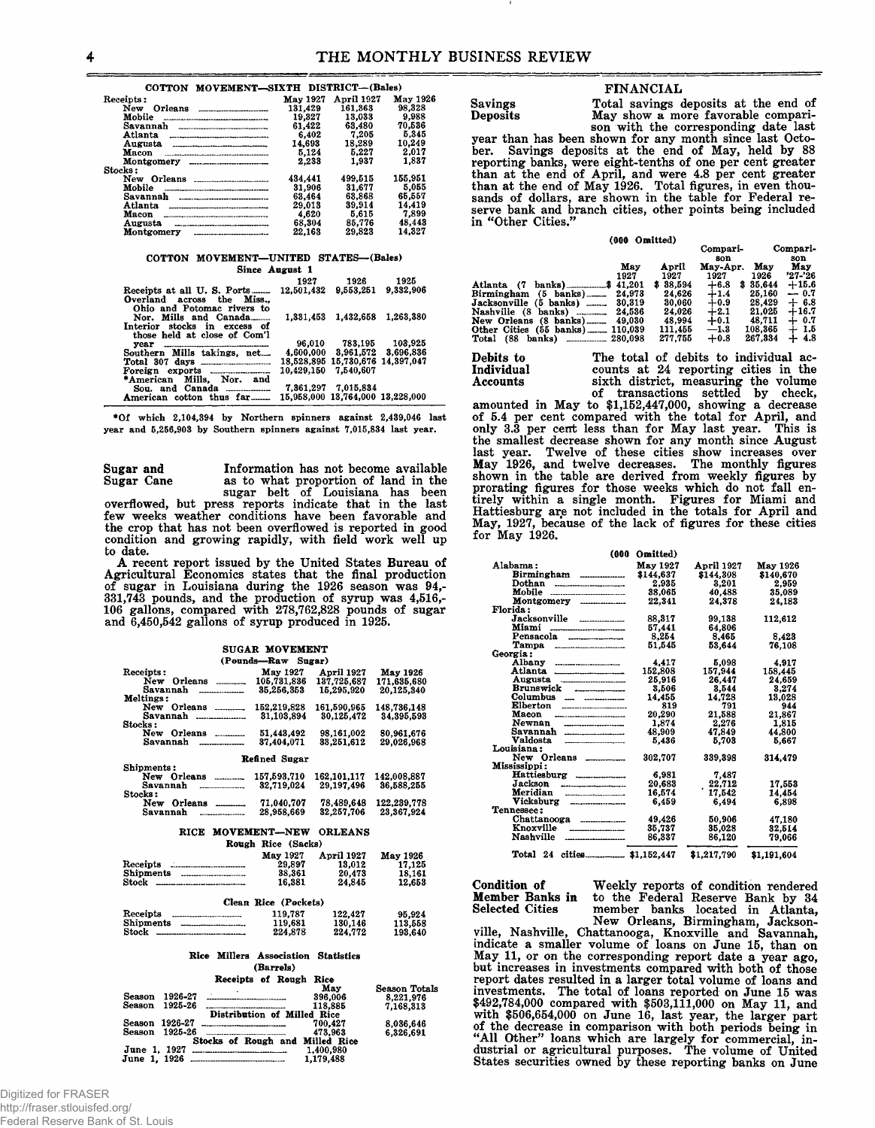|  | COTTON MOVEMENT-SIXTH DISTRICT-(Bales) |  |
|--|----------------------------------------|--|
|--|----------------------------------------|--|

| Receipts:                                    | May 1927 | April 1927 | May 1926 |
|----------------------------------------------|----------|------------|----------|
| New<br>Orleans                               | 131,429  | 161.363    | 98.328   |
| Mobile                                       | 19.327   | 13.033     | 9.988    |
| Savannah                                     | 61.422   | 63.480     | 70.536   |
| Atlanta                                      | 6.402    | 7.205      | 5.345    |
| Augusta                                      | 14.693   | 18.289     | 10.249   |
| Macon                                        | 5.124    | 5.227      | 2.017    |
| Montgomery                                   | 2.233    | 1.937      | 1.837    |
| Stocks:                                      |          |            |          |
| Orleans<br>New                               | 434.441  | 499.515    | 155.951  |
| Mobile                                       | 31.906   | 31.677     | 5.055    |
| Savannah                                     | 63.464   | 63.868     | 65.557   |
| Atlanta                                      | 29.013   | 39.914     | 14.419   |
| Macon                                        | 4.620    | 5.615      | 7.899    |
| Augusta                                      | 68.304   | 85.776     | 48.443   |
| Montgomery<br>,,,,,,,,,,,,,,,,,,,,,,,,,,,,,, | 22.163   | 29.823     | 14.327   |

#### **COTTON MOVEMENT—UNITED STATES—(Bales) Since August 1**

|                                                        | 1927       | -- 1926                          | 1925 |
|--------------------------------------------------------|------------|----------------------------------|------|
| Receipts at all U.S. Ports<br>Overland across the Miss |            | 12.501.432 9.553.251 9.332,906   |      |
| Ohio and Potomac rivers to<br>Nor. Mills and Canada    |            | 1.331.453 1.432.658 1.263.380    |      |
| Interior stocks in excess of                           |            |                                  |      |
| those held at close of Com'l                           |            | 96.010 783.195 103.925           |      |
| Southern Mills takings, net                            |            | 4.600.000 3.961.572 3.696.836    |      |
|                                                        |            | 18.528.895 15.730.676 14.397.047 |      |
|                                                        | 10.429.150 | 7.540.607                        |      |
| *American Mills. Nor. and                              |            |                                  |      |
|                                                        |            | 7.361.297 7.015.834              |      |
| American cotton thus far                               |            | 15,958,000 13,764,000 13,228,000 |      |

**♦Of which 2,104,394 by Northern spinners against 2,439,046 last year and 5,256,903 by Southern spinners against 7,015,834 last year.**

**Sugar and Information has not become available**<br>Sugar Cane as to what proportion of land in the as to what proportion of land in the **sugar belt of Louisiana has been overflowed, but press reports indicate that in the last few weeks weather conditions have been favorable and the crop that has not been overflowed is reported in good condition and growing rapidly, with field work well up to date.**

**A recent report issued by the United States Bureau of Agricultural Economics states that the final production of sugar in Louisiana during the 1926 season was 94,- 331,743 pounds, and the production of syrup was 4,516,- 106 gallons, compared with 278,762,828 pounds of sugar and 6,450,542 gallons of syrup produced in 1925.**

|                                                      | SUGAR MOVEMENT                  |                    |                        |
|------------------------------------------------------|---------------------------------|--------------------|------------------------|
|                                                      | (Pounds-Raw                     | $Su ar$            |                        |
| Receipts:                                            | May 1927                        | April 1927         | May 1926               |
| New Orleans                                          | 105.731.836                     | 137,725,687        | 171.635.680            |
| Savannah<br>------------------                       | 35,256,353                      | 15.295.920         | 20.125.340             |
| Meltings:                                            |                                 |                    |                        |
| New Orleans                                          | 152.219.828                     | 161.590.965        | 148,736,148            |
| Savannah                                             | 31,103,894                      | 30,125,472         | 34,395,593             |
| Stocks :                                             |                                 |                    |                        |
| New Orleans                                          | 51,443,492                      | 98,161,002         | 80.961.676             |
| Savannah                                             | 37,404,071                      | 33.251.612         | 29.026.968             |
|                                                      | Refined Sugar                   |                    |                        |
| $\mathbf S$ hip $\mathbf m$ ents :                   |                                 |                    |                        |
| New Orleans                                          | 157,593,710                     | 162.101.117        | 142,008,887            |
| Savannah                                             | 32.719.024                      | 29,197,496         | 36.588.255             |
| Stocks:                                              |                                 |                    |                        |
| New Orleans ______                                   | 71,040,707                      | 78,489,648         | 122,239,778            |
| Savannah<br>-------------------                      | 28.958.669                      | 32,257,706         | 23.367.924             |
|                                                      |                                 |                    |                        |
| RICE                                                 | <b>MOVEMENT—NEW</b>             | <b>ORLEANS</b>     |                        |
|                                                      | Rough Rice (Sacks)              |                    |                        |
|                                                      | <b>May 1927</b>                 | April 1927         | May 1926               |
|                                                      | 29,897                          | 13.012             | 17,125                 |
|                                                      | 38,361                          | 20,473             | 18.161                 |
| Stock <u>_______________________</u>                 | 16,381                          | 24,845             | 12.653                 |
|                                                      |                                 |                    |                        |
|                                                      | Clean Rice (Pockets)            |                    |                        |
| Receipts                                             | 119.787                         | 122,427            | 95.924                 |
|                                                      | 119,681                         | 130,146            | 113,558                |
| Stock <u></u>                                        | 224,878                         | 224,772            | 193,640                |
|                                                      |                                 |                    |                        |
| Rice Millers Association Statistics                  |                                 |                    |                        |
|                                                      | (Barrels)                       |                    |                        |
|                                                      |                                 |                    |                        |
|                                                      | Receipts of Rough               | Rice               |                        |
| -------------------------------<br>Season<br>1926-27 |                                 | May                | Season Totals          |
| Season<br>1925-26                                    |                                 | 396,006            | 8,221,976              |
|                                                      | Distribution of Milled Rice     | 118.885            | 7,168,313              |
| 1926-27<br>Season                                    |                                 |                    |                        |
| Season<br>1925-26                                    |                                 | 700,427<br>473,963 | 8,036,646<br>6.326.691 |
|                                                      | Stocks of Rough and Milled Rice |                    |                        |
|                                                      |                                 | 1.400.980          |                        |
| June 1, 1926 <u></u>                                 |                                 | 1,179,488          |                        |
|                                                      |                                 |                    |                        |

# Digitized for FRASER

http://fraser.stlouisfed.org/ Federal Reserve Bank of St. Louis

## **FINANCIAL**

**Savings Total savings deposits at the end of Deposits May show a more favorable comparison with the corresponding date last**

**year than has been shown for any month since last October. Savings deposits at the end of May, held by 88 reporting banks, were eight-tenths of one per cent greater than at the end of April, and were 4.8 per cent greater than at the end of May 1926. Total figures, in even thousands of dollars, are shown in the table for Federal reserve bank and branch cities, other points being included in "Other Cities."**

|                                                       | (000    | Omitted)     | Compari-<br>son |         | Compari-<br>son |
|-------------------------------------------------------|---------|--------------|-----------------|---------|-----------------|
|                                                       | May     | April        | May-Apr.        | Mav     | May             |
|                                                       | 1927    | 1927         | 1927            | 1926    | '27-'26         |
| Atlanta (7                                            | 41.201  | 38.594<br>s. | $+6.8$<br>s.    | 35.644  | $+15.6$         |
| Birmingham                                            | 24.973  | 24.626       | $+1.4$          | 25,160  | $-0.7$          |
| Jacksonville (5 banks)                                | 30,319  | 30,060       | $+0.9$          | 28.429  | $+6.8$          |
| Nashville (8<br>banks)<br><b>Adventure Contractor</b> | 24,536  | 24.026       | $+2.1$          | 21.025  | $+16.7$         |
| New Orleans<br>(8<br>$banks)$                         | 49,030  | 48.994       | $+0.1$          | 48.711  | 0.7<br>┿        |
| Other Cities (55 banks)                               | 110.039 | 111.455      | —1.3            | 108,365 | 1.5<br>┵        |
| Total<br>(88<br>banks)                                | 280,098 | 277.755      | $^{+0.8}$       | 267.334 | 4.8             |

**Debits to The total of debits to individual ac-Individual counts at 24 reporting cities in the Accounts sixth district, measuring the volume of transactions settled by check,**

**amounted in May to \$1,152,447,000, showing a decrease of 5.4 per cent compared with the total for April, and only 3.3 per cent less than for May last year. This is the smallest decrease shown for any month since August last year. Twelve of these cities show increases over May 1926, and twelve decreases. The monthly figures shown in the table are derived from weekly figures by prorating figures for those weeks which do not fall entirely within a single month. Figures for Miami and Hattiesburg are not included in the totals for April and May, 1927, because of the lack of figures for these cities for May 1926.**

| (000                                     | Omitted)  |             |                 |
|------------------------------------------|-----------|-------------|-----------------|
| Alabama :                                | May 1927  | April 1927  | <b>May 1926</b> |
| Birmingham                               | \$144,637 | \$144.308   | \$140,670       |
|                                          | 2.935     | 3.201       | 2.959           |
| Mobile                                   | 38,065    | 40,488      | 35,089          |
| Montgomery                               | 22.341    | 24.378      | 24.183          |
| Florida:                                 |           |             |                 |
| Jacksonville                             | 88,317    | 99.138      | 112,612         |
| Miami<br>------------------------------- | 57.441    | 64.806      |                 |
|                                          | 8.254     | 8.465       | 8.423           |
|                                          | 51.545    | 53.644      | 76.108          |
| Georgia:                                 |           |             |                 |
| Albany                                   | 4.417     | 5.098       | 4.917           |
| Atlanta                                  | 152.808   | 157.944     | 158.445         |
| Augusta<br>---------------------------   | 25.916    | 26,447      | 24,659          |
| Brunswick ___________                    | 8.506     | 3.544       | 3.274           |
| Columbus                                 | 14.455    | 14.728      | 13.028          |
| Elberton<br>---------------------------  | 819       | 791         | 944             |
| Macon                                    | 20.290    | 21.588      | 21,867          |
| Newnan<br>---------------------------    | 1.874     | 2.276       | 1.815           |
| Savannah<br>----------------------       | 48.909    | 47,849      | 44.800          |
| Valdosta<br>----------------------       | 5.436     | 5.708       | 5.667           |
| Louisiana:                               |           |             |                 |
| New Orleans                              | 302,707   | 339,398     | 314,479         |
| Mississippi:                             |           |             |                 |
| Hattiesburg ____________                 | 6.981     | 7.487       |                 |
| Jackson                                  | 20.683    | 22.712      | 17.553          |
| Meridian<br>------------------------     | 16,574    | 17.542      | 14.454          |
| Vicksburg _____________                  | 6,459     | 6,494       | 6.898           |
| <b>Tennessee:</b>                        |           |             |                 |
|                                          | 49.426    | 50,906      | 47,180          |
| Knoxville<br>----------------------      | 35.737    | 35.028      | 32.514          |
| Nashville<br>------------------------    | 86,337    | 86.120      | 79.066          |
|                                          |           | \$1,217,790 | \$1,191,604     |

**Condition of Weekly reports of condition rendered Member Banks in to the Federal Reserve Bank by 34 Selected Cities member banks located in Atlanta, New Orleans, Birmingham, Jackson-**

**ville, Nashville, Chattanooga, Knoxville and Savannah, indicate a smaller volume of loans on June 15, than on May 11, or on the corresponding report date a year ago, but increases in investments compared with both of those report dates resulted in a larger total volume of loans and investments. The total of loans reported on June 15 was \$492,784,000 compared with \$503,111,000 on May 11, and with \$506,654,000 on June 16, last year, the larger part of the decrease in comparison with both periods being in "All Other" loans which are largely for commercial, industrial or agricultural purposes. The volume of United States securities owned by these reporting banks on June**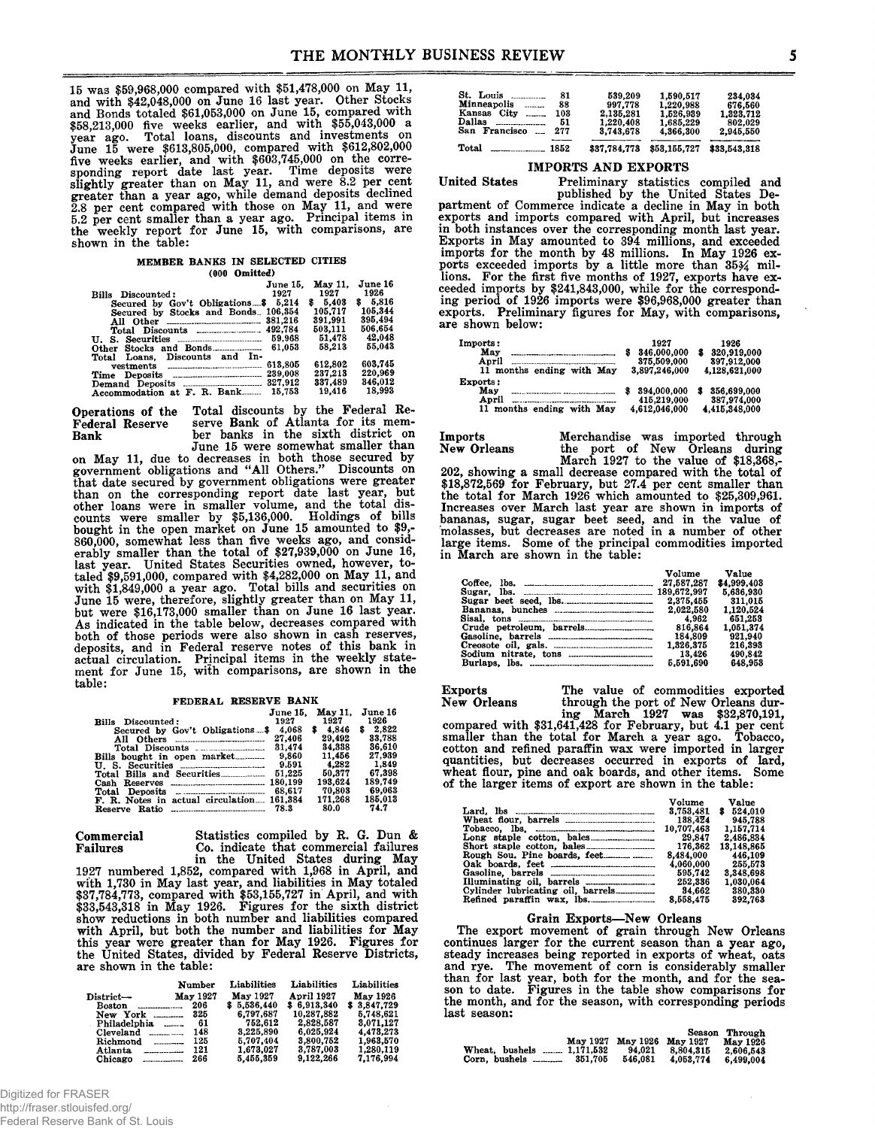**15 was \$59,968,000 compared with \$51,478,000 on May 11, and with \$42,048,000 on June 16 last year. Other Stocks and Bonds totaled \$61,053,000 on June 15, compared with \$58,213,000 five weeks earlier, and with \$55,043,000 a year ago. Total loans, discounts and investments on June 15 were \$613,805,000, compared with \$612,802,000 five weeks earlier, and with \$603,745,000 on the corresponding report date last year. Time deposits were slightly greater than on May 11, and were 8.2 per cent greater than a year ago, while demand deposits declined 2.8 per cent compared with those on May 11, and were 5.2 per cent smaller than a year ago. Principal items in the weekly report for June 15, with comparisons, are shown in the table:**

#### **MEMBER BANKS IN SELECTED CITIES <000 Omitted)**

| Bills Discounted:                       | June 15.<br>1927 | May 11.<br>1927 | June 16<br>1926 |
|-----------------------------------------|------------------|-----------------|-----------------|
| Secured by Gov't Obligations\$ 5.214    |                  | \$5.403         | \$5.816         |
| Secured by Stocks and Bonds. 106,354    |                  | 105.717         | 105.344         |
|                                         |                  | 391.991         | 395,494         |
|                                         |                  | 503.111         | 506.654         |
| U. S. Securities <b>Election</b> 59,968 |                  | 51,478          | 42.048          |
|                                         |                  | 58.213          | 55.043          |
| Total Loans, Discounts and In-          |                  |                 |                 |
|                                         | 613.805          | 612.802         | 603.745         |
| Time Deposits <b></b>                   | 239,008          | 237.213         | 220.969         |
|                                         |                  | 337.489         | 346,012         |
| Accommodation at F. R. Bank             | 15.753           | 19.416          | 18,993          |

**Operations of the Total discounts by the Federal Re-Federal Reserve serve Bank of Atlanta for its mem-Bank her banks in the sixth district on June 15 were somewhat smaller than**

**on May 11, due to decreases in both those secured by government obligations and "All Others." Discounts on that date secured by government obligations were greater than on the corresponding report date last year, but other loans were in smaller volume, and the total discounts were smaller by \$5,136,000. Holdings of bills bought in the open market on June 15 amounted to \$9,- 860,000, somewhat less than five weeks ago, and considerably smaller than the total of \$27,939,000 on June 16, last year. United States Securities owned, however, totaled \$9,591,000, compared with \$4,282,000 on May 11, and with \$1,849,000 a year ago. Total bills and securities on June 15 were, therefore, slightly greater than on May 11, but were \$16,173,000 smaller than on June 16 last year. As indicated in the table below, decreases compared with both of those periods were also shown in cash reserves, deposits, and in Federal reserve notes of this bank in actual circulation. Principal items in the weekly statement for June 15, with comparisons, are shown in the table:**

**FEDERAL RESERVE BANK**

|                                                 | June 15.<br>1927 | May 11.<br>1927 | June 16<br>1926 |
|-------------------------------------------------|------------------|-----------------|-----------------|
| <b>Bills</b> Discounted:                        |                  |                 |                 |
| Secured by Gov't Obligations\$                  | 4.068            | 4.846<br>-8     | 2.822<br>8.     |
|                                                 | 27,406           | 29.492          | 33.788          |
|                                                 | 31.474           | 34.338          | 36.610          |
| Bills bought in open market                     | 9.860            | 11.456          | 27.939          |
| U.S. Securities <u>________________________</u> | 9.591            | 4.282           | 1.849           |
|                                                 | 51.225           | 50.377          | 67.398          |
|                                                 |                  | 193.624         | 189.749         |
| Total Deposits <u>music communication</u>       | 68.617           | 70,803          | 69.063          |
| F. R. Notes in actual circulation 161.384       |                  | 171.268         | 185,013         |
|                                                 |                  | 80.0            | 74.7            |

**Commercial Statistics compiled by R. G. Dun** *&* **Failures Co. indicate that commercial failures**

**in the United States during May 1927 numbered 1,852, compared with 1,968 in April, and with 1,730 in May last year, and liabilities in May totaled \$37,784,773, compared with \$53,155,727 in April, and with \$33,543,318 in May 1926. Figures for the sixth district show reductions in both number and liabilities compared with April, but both the number and liabilities for May this year were greater than for May 1926. Figures for the United States, divided by Federal Reserve Districts, are shown in the table:**

|                                | Number                      | Liabilities | Liabilities | Liabilities |
|--------------------------------|-----------------------------|-------------|-------------|-------------|
| District-                      | May 1927                    | May 1927    | April 1927  | May 1926    |
| Boston<br>____________________ | 206                         | \$5.536.440 | \$6.913.340 | \$3.847.729 |
| New York                       | 325<br>------------         | 6.797.687   | 10,287,882  | 5,748,621   |
| Philadelphia                   | 61<br><b>Continued Inc.</b> | 752.612     | 2.828.587   | 3.071.127   |
| Cleveland                      | 148                         | 3.225.890   | 6.025.924   | 4.473.273   |
| Richmond<br>and a state        | 125                         | 5.707,404   | 3,800,752   | 1.963.570   |
| Atlanta<br>---------------     | 121                         | 1.673.027   | 3,787,003   | 1.280.119   |
| Chicago<br>-----------------   | 266                         | 5.455.359   | 9,122,266   | 7.176.994   |

| $St.$ Louis                                        | 81   | 539.209      | 1.590.517    | 234.034      |
|----------------------------------------------------|------|--------------|--------------|--------------|
| Minneapolis<br><b><i><u><u>AAAAAAA</u></u></i></b> | 88   | 997.778      | 1,220,988    | 676.560      |
| City<br>Kansas                                     | 103  | 2,135,281    | 1.526.939    | 1,323,712    |
| Dallas<br>-------------------                      | 51   | 1.220.408    | 1.685.229    | 802.029      |
| San Francisco                                      | 277  | 3.743.678    | 4.366.300    | 2.945.550    |
|                                                    |      |              |              |              |
| Total                                              | 1852 | \$37.784.773 | \$53,155,727 | \$33,543,318 |

## **IMPORTS AND EXPORTS**

**United States Preliminary statistics compiled and published by the United States De-**

**partment of Commerce indicate a decline in May in both exports and imports compared with April, but increases in both instances over the corresponding month last year. Exports in May amounted to 394 millions, and exceeded imports for the month by 48 millions. In May 1926 exports exceeded imports by a little more than 35^4 millions. For the first five months of 1927, exports have exceeded imports by \$241,843,000, while for the corresponding period of 1926 imports were \$96,968,000 greater than exports. Preliminary figures for May, with comparisons, are shown below:**

| Imports:<br>May<br>April<br>11 months ending with May    | 1927<br>346,000,000<br>375,509,000<br>3,897,246,000 | 1926<br>320.919.000<br>897.912.000<br>4.128.621.000 |
|----------------------------------------------------------|-----------------------------------------------------|-----------------------------------------------------|
| Exports:<br>May<br>April<br>months ending with May<br>11 | 394,000,000<br>415.219.000<br>4,612,046,000         | 356.699.000<br>387.974.000<br>4.415.348.000         |

**Imports New Orleans** **Merchandise was imported through the port of New Orleans during**

**March 1927 to the value of \$18,368,- 202, showing a small decrease compared with the total of \$18,872,569 for February, but 27.4 per cent smaller than the total for March 1926 which amounted to \$25,309,961. Increases over March last year are shown in imports of bananas, sugar, sugar beet seed, and in the value of molasses, but decreases are noted in a number of other large items. Some of the principal commodities imported in March are shown in the table:**

| Volume     | Value       |
|------------|-------------|
| 27.587.287 | \$4.999.403 |
|            | 5.636.930   |
| 2.375.455  | 311.015     |
| 2.022.580  | 1.120.524   |
| 4.962      | 651.253     |
| 816.864    | 1.051.374   |
| 184.809    | 921.940     |
| 1.326.375  | 216.393     |
| 13.426     | 490.842     |
| 5.591.690  | 648,953     |

**Exports New Orleans through the port of New Orleans dur-The value of commodities exported ing March 1927 was \$32,870,191, compared with \$31,641,428 for February, but 4.1 per cent smaller than the total for March a year ago. Tobacco, cotton and refined paraffin wax were imported in larger quantities, but decreases occurred in exports of lard, wheat flour, pine and oak boards, and other items. Some of the larger items of export are shown in the table:**

|                            | Volume     | Value         |
|----------------------------|------------|---------------|
|                            | 3.753.481  | 524.010<br>s. |
|                            | 138.424    | 945.788       |
|                            | 10.707.463 | 1.157.714     |
| Long staple cotton, bales  | 29.847     | 2.486.834     |
|                            | 176.362    | 13.148.865    |
|                            | 8.484.000  | 446.109       |
| Oak boards, feet           | 4.060.000  | 255.573       |
|                            | 595.742    | 3.348.698     |
|                            | 252.336    | 1,030,064     |
|                            | 34.662     | 380,330       |
| Refined paraffin wax, lbs. | 8.558.475  | 392,763       |

#### **Grain Exports—New Orleans**

**The export movement of grain through New Orleans continues larger for the current season than a year ago, steady increases being reported in exports of wheat, oats and rye. The movement of corn is considerably smaller than for last year, both for the month, and for the season to date. Figures in the table show comparisons for the month, and for the season, with corresponding periods last season:**

| Wheat. bushels<br>Corn. bushels | 1,171,532<br>351.705 | May 1927 May 1926<br>94.021<br>546.081 | <b>May 1927</b><br>8.804.315<br>4,053,774 | Season Through<br><b>May 1926</b><br>2.606.543<br>6.499.004 |
|---------------------------------|----------------------|----------------------------------------|-------------------------------------------|-------------------------------------------------------------|
| ------------                    |                      |                                        |                                           |                                                             |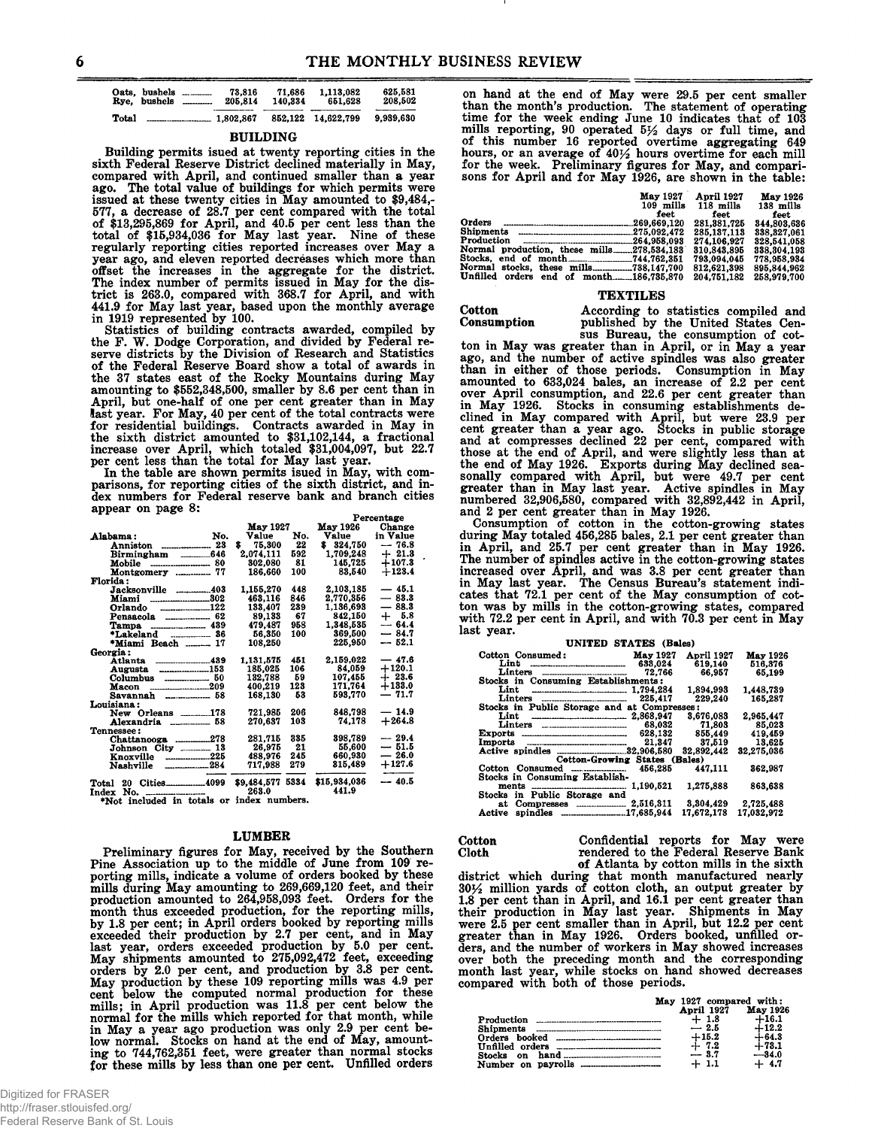| Rye.  | Oats, bushels | ------------  | 73.816                        | 71.686  | 1.113.082          | 625.581   |
|-------|---------------|---------------|-------------------------------|---------|--------------------|-----------|
|       | bushels       | ------------- | 205.814                       | 140.334 | 651.628            | 208.502   |
| Total |               |               | $\frac{1.802.867}{1.802.867}$ |         | 852,122 14,622,799 | 9.939.630 |

#### **BUILDING**

**Building permits isued at twenty reporting cities in the sixth Federal Reserve District declined materially in May, compared with April, and continued smaller than a year ago. The total value of buildings for which permits were issued at these twenty cities in May amounted to \$9,484,- 577, a decrease of 28.7 per cent compared with the total of \$13,295,869 for April, and 40.5 per cent less than the total of \$15,934,036 for May last year. Nine of these regularly reporting cities reported increases over May a year ago, and eleven reported decreases which more than offset the increases in the aggregate for the district. The index number of permits issued in May for the district is 263.0, compared with 368.7 for April, and with 441.9 for May last year, based upon the monthly average in 1919 represented by 100.**

**Statistics of building contracts awarded, compiled by the F. W. Dodge Corporation, and divided by Federal reserve districts by the Division of Research and Statistics of the Federal Reserve Board show a total of awards in the 37 states east of the Rocky Mountains during May amounting to \$552,348,500, smaller by 8.6 per cent than in April, but one-half of one per cent greater than in May last year. For May, 40 per cent of the total contracts were for residential buildings. Contracts awarded in May in the sixth district amounted to \$31,102,144, a fractional increase over April, which totaled \$31,004,097, but 22.7 per cent less than the total for May last year.**

**In the table are shown permits isued in May, with comparisons, for reporting cities of the sixth district, and index numbers for Federal reserve bank and branch cities** appear on page 8:

|                                         |                  |     |               | Percentage |
|-----------------------------------------|------------------|-----|---------------|------------|
|                                         | <b>May 1927</b>  |     | May 1926      | Change     |
| No.<br>Alabama:                         | Value            | No. | Value         | in Value   |
| ----------------- 23<br>Anniston        | 75.300<br>s.     | 22  | 324.750<br>s. | $-76.8$    |
| Birmingham _________646                 | 2.074.111        | 592 | 1,709,248     | $+21.3$    |
| 80<br>Mobile<br>----------------------- | 302,080          | 81  | 145.725       | $+107.3$   |
| Montgomery  77                          | 186.660          | 100 | 83,540        | $+123.4$   |
| Florida:                                |                  |     |               |            |
| Jacksonville _________403               | 1,155,270        | 448 | 2.103.185     | $-45.1$    |
| Miami                                   | 463.116          | 846 | 2,770.356     | $-83.3$    |
| 122<br>Orlando                          | 133.407          | 239 | 1.136.693     | $-88.3$    |
| Pensacola ___________ 62                | 89.133           | 67  | 842,150       | $+ 5.8$    |
| ----------------------- 489<br>Tampa    | 479.487          | 958 | 1,348,535     | — 64.4     |
| *Lakeland<br>36<br>-----------------    | 56,350           | 100 | 369,500       | $-84.7$    |
| *Miami Beach  17                        | 108,250          |     | 225,950       | $-52.1$    |
| Georgia:                                |                  |     |               |            |
| ---------------------489<br>Atlanta     | 1,131,575        | 451 | 2.159.022     | $-47.6$    |
| Augusta                                 | 185,025          | 106 | 84,059        | $+120.1$   |
|                                         | 132.788          | 59  | 107.455       | $+23.6$    |
| .209<br>Macon                           | 400,219          | 123 | 171.764       | $+133.0$   |
| 58<br>Savannah                          | 168,130          | 53  | 593.770       | $-71.7$    |
| Louisiana:                              |                  |     |               |            |
| New Orleans 178                         | 721.985          | 206 | 848,798       | $-14.9$    |
| Alexandria __________ 58                | 270,637          | 103 | 74.178        | $+264.8$   |
| <b>Tennessee:</b>                       |                  |     |               |            |
| Chattanooga 278                         | 281,715          | 335 | 398.789       | $-29.4$    |
| Johnson City _______ 13                 | 26,975           | 21  | 55,600        | $-51.5$    |
| 225<br>Knoxville<br>----------------    | 488,976          | 245 | 660.930       | $-26.0$    |
| 284<br>Nashville                        | 717,988          | 279 | 315,489       | $+127.6$   |
|                                         | \$9,484,577 5334 |     | \$15,934,036  | -- 40.5    |
| Index No.                               | 263.0            |     | 441.9         |            |
| *Not included in totals or              | index numbers.   |     |               |            |

#### **LUMBER**

**Preliminary figures for May, received by the Southern Pine Association up to the middle of June from 109 reporting mills, indicate a volume of orders booked by these mills during May amounting to 269,669,120 feet, and their production amounted to 264,958,093 feet. Orders for the month thus exceeded production, for the reporting mills, by 1.8 per cent; in April orders booked by reporting mills exceeded their production by 2.7 per cent, and in May last year, orders exceeded production by 5.0 per cent. May shipments amounted to 275,092,472 feet, exceeding orders by 2.0 per cent, and production by 3.8 per cent. May production by these 109 reporting mills was 4.9 per cent below the computed normal production for these mills; in April production was 11.8 per cent below the normal for the mills which reported for that month, while in May a year ago production was only 2.9 per cent below normal. Stocks on hand at the end of May, amounting to 744,762,351 feet, were greater than normal stocks for these mills by less than one per cent. Unfilled orders**

Digitized for FRASER http://fraser.stlouisfed.org/ Federal Reserve Bank of St. Louis

**on hand at the end of May were 29.5 per cent smaller** than the month's production. The statement of operating **time for the week ending June 10 indicates that of 103 mills reporting, 90 operated** *hy2* **days or full time, and of this number 16 reported overtime aggregating 649 hours, or an average of 40}^ hours overtime for each mill for the week. Preliminary figures for May, and comparisons for April and for May 1926, are shown in the table:**

|                                                                                                                            | <b>May 1927</b><br>109 mills<br>feet | April 1927<br>118 mills<br>feet                                                        | May 1926<br>138 mills                                                                          |
|----------------------------------------------------------------------------------------------------------------------------|--------------------------------------|----------------------------------------------------------------------------------------|------------------------------------------------------------------------------------------------|
| Orders<br>Shipments<br>Production<br>Normal production, these mills278.534.183<br>Normal<br>stocks, these mills738,147,700 | 269.669.120                          | 281.381.725<br>285.137.113<br>274.106.927<br>310.843.895<br>793.094.045<br>812.621.398 | feet<br>344,803,636<br>338.327.061<br>328,541,058<br>338.304.193<br>778.958.934<br>895.844.962 |
| Unfilled<br>orders<br>end of month186,735,870                                                                              |                                      | 204.751.182                                                                            | 258,979,700                                                                                    |

#### **TEXTILES**

**Cotton According to statistics compiled and Consumption published by the United States Census Bureau, the consumption of cot-**

**ton in May was greater than in April, or in May a year ago, and the number of active spindles was also greater than in either of those periods. Consumption in May amounted to 633,024 bales, an increase of 2.2 per cent over April consumption, and 22.6 per cent greater than in May 1926. Stocks in consuming establishments declined in May compared with April, but were 23.9 per cent greater than a year ago. Stocks in public storage and at compresses declined 22 per cent, compared with those at the end of April, and were slightly less than at the end of May 1926. Exports during May declined seasonally compared with April, but were 49.7 per cent greater than in May last year. Active spindles in May numbered 32,906,580, compared with 32,892,442 in April, and 2 per cent greater than in May 1926.**

**Consumption of cotton in the cotton-growing states during May totaled 456,285 bales, 2.1 per cent greater than in April, and 25.7 per cent greater than in May 1926. The number of spindles active in the cotton-growing states increased over April, and was 3.8 per cent greater than in May last year. The Census Bureau's statement indicates that 72.1 per cent of the May consumption of cotton was by mills in the cotton-growing states, compared with 72.2 per cent in April, and with 70.3 per cent in May last year.**

| UNITED STATES (Bales)                       |                 |            |                 |
|---------------------------------------------|-----------------|------------|-----------------|
| Cotton Consumed:                            | <b>May 1927</b> | April 1927 | <b>May 1926</b> |
| Lint<br>638.024                             |                 | 619.140    | 516.376         |
| Linters                                     | 72.766          | 66.957     | 65.199          |
| Stocks in Consuming Establishments:         |                 |            |                 |
|                                             |                 | 1.894.993  | 1,448,739       |
|                                             | 225.417         | 229,240    | 165,287         |
| Stocks in Public Storage and at Compresses: |                 |            |                 |
| Lint $\frac{1}{2.868,947}$                  |                 | 3.676.083  | 2,965,447       |
| Linters <u></u>                             | 68,032          | 71.803     | 85,023          |
| Exports                                     | 628,132         | 855,449    | 419.459         |
| Imports                                     | 21.347          | 37.519     | 13,625          |
|                                             |                 | 32,892,442 | 32,275,036      |
| Cotton-Growing States (Bales)               |                 |            |                 |
|                                             |                 | 447.111    | 362,987         |
| Stocks in Consuming Establish-              |                 |            |                 |
|                                             |                 | 1.275.888  | 863,638         |
| Stocks in Public Storage and                |                 |            |                 |
|                                             |                 | 3.304.429  | 2,725,488       |
| Active spindles _________________17,685,944 |                 | 17.672.178 | 17.032.972      |
|                                             |                 |            |                 |

**Cotton Confidential reports for May were**<br>Cloth **Confidential reports reports** rendered to the Federal Reserve Bank **Cloth rendered to the Federal Reserve Bank**

**of Atlanta by cotton mills in the sixth district which during that month manufactured nearly 30***y2* **million yards of cotton cloth, an output greater by 1.8 per cent than in April, and 16.1 per cent greater than their production in May last year. Shipments in May were 2.5 per cent smaller than in April, but 12.2 per cent greater than in May 1926. Orders booked, unfilled orders, and the number of workers in May showed increases over both the preceding month and the corresponding month last year, while stocks on hand showed decreases compared with both of those periods.**

|                                 | May 1927 compared with:<br>April 1927 | May 1926           |
|---------------------------------|---------------------------------------|--------------------|
| Production                      | $+1.8$                                | $+16.1$            |
| <b>Shipments</b>                | $-2.5$                                | $+12.2$            |
| Orders booked                   | $+15.2$                               | $+64.3$            |
| Unfilled orders                 | $+7.2$                                | $+73.1$            |
| Stocks on<br>Number on payrolls | $-3.7$<br>$+1.1$                      | $-34.0$<br>$+ 4.7$ |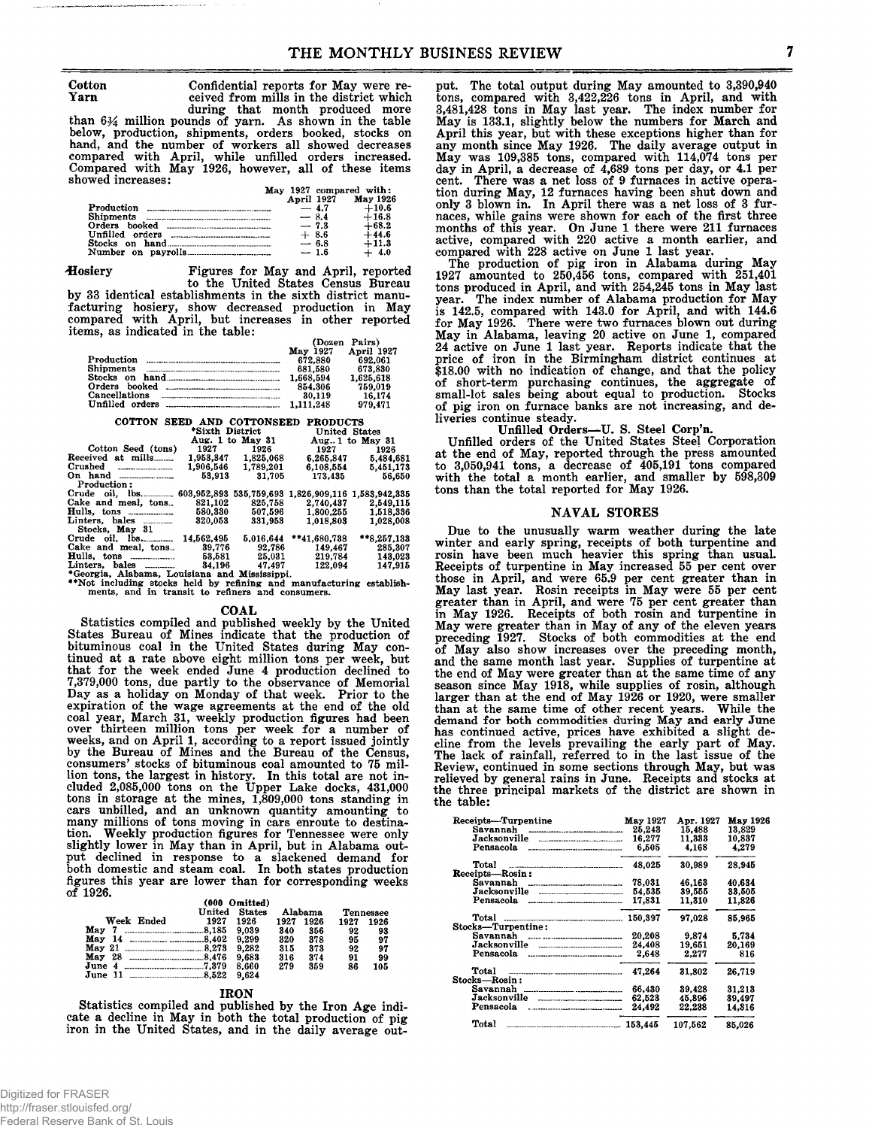**Cotton Confidential reports for May were re-<br>
<b>Yarn** ceived from mills in the district which **Yarn ceived from mills in the district which during that month produced more than** *6\$4* **million pounds of yarn. As shown in the table below, production, shipments, orders booked, stocks on hand, and the number of workers all showed decreases compared with April, while unfilled orders increased. Compared with May 1926, however, all of these items showed increases:**

|            |        | May 1927 compared with: |
|------------|--------|-------------------------|
| April 1927 |        | <b>May 1926</b>         |
| $-4.7$     |        | $+10.6$                 |
|            | $-8.4$ | $+16.8$                 |
|            | $-7.3$ | $+68.2$                 |
|            | $+8.6$ | $+44.6$                 |
|            | $-6.8$ | $+11.3$                 |
|            | $-1.6$ | $+4.0$                  |

**'Hosiery Figures for May and April, reported**

**to the United States Census Bureau by 33 identical establishments in the sixth district manufacturing hosiery, show decreased production in May compared with April, but increases in other reported items, as indicated in the table:**

|                      | May 1927  | (Dozen Pairs)<br>April 1927 |
|----------------------|-----------|-----------------------------|
| Production           | 672.880   | 692.061                     |
|                      | 681.580   | 673.830                     |
|                      | 1.668.594 | 1,625,618                   |
|                      | 854.306   | 759.019                     |
| <b>Cancellations</b> | 30.119    | 16.174                      |
|                      | 1.111.248 | 979.471                     |
|                      |           |                             |

| COTTON SEED AND COTTONSEED                    |                 |                  | <b>PRODUCTS</b>                         |                  |
|-----------------------------------------------|-----------------|------------------|-----------------------------------------|------------------|
|                                               | *Sixth District |                  | United States                           |                  |
|                                               |                 | Aug. 1 to May 31 |                                         | Aug. 1 to May 31 |
| Cotton Seed (tons)                            | 1927            | 1926             | 1927                                    | 1926             |
| Received at mills                             | 1.953.347       | 1.825.068        | 6.265.847                               | 5,484.681        |
| Crushed<br>---------------------              | 1.906.546       | 1,789,201        | 6,108,554                               | 5.451,173        |
|                                               | 53,913          | 31.705           | 173,435                                 | 56,650           |
| Production:                                   |                 |                  |                                         |                  |
|                                               |                 |                  | 535,759,693 1,826,909,116 1,583,942,335 |                  |
| Cake and meal, tons                           | 821.102         | 825,758          | 2,740,437                               | 2.549,115        |
| Hulls, tons $\ldots$                          | 580,330         | 507.596          | 1.800.255                               | 1,518,336        |
| Linters, bales                                | 320.053         | 331.953          | 1.018.808                               | 1,028,008        |
| Stocks. May 31                                |                 |                  |                                         |                  |
| Crude oil. $\log$ .                           | 14.562,495      | 5.016.644        | **41,680,738                            | **8.257.133      |
| Cake and meal, tons                           | 39,776          | 92.786           | 149.467                                 | 285.307          |
| Hulls, tons                                   | 53.581          | 25.031           | 219,784                                 | 143,023          |
| Linters. bales                                | 34.196          | 47.497           | 122.094                                 | 147,915          |
| *Georgia, Alabama, Louisiana and Mississippi. |                 |                  |                                         |                  |

\*\*Not including stocks held by refining and manufacturing establishments, and in transit to refiners and consumers.

#### **COAL**

**Statistics compiled and published weekly by the United States Bureau of Mines indicate that the production of bituminous coal in the United States during May continued at a rate above eight million tons per week, but that for the week ended June 4 production declined to 7,379,000 tons, due partly to the observance of Memorial Day as a holiday on Monday of that week. Prior to the expiration of the wage agreements at the end of the old coal year, March 31, weekly production figures had been over thirteen million tons per week for a number of weeks, and on April 1, according to a report issued jointly by the Bureau of Mines and the Bureau of the Census, consumers' stocks of bituminous coal amounted to 75 million tons, the largest in history. In this total are not included 2,085,000 tons on the Upper Lake docks, 431,000 tons in storage at the mines, 1,809,000 tons standing in cars unbilled, and an unknown quantity amounting to many millions of tons moving in cars enroute to destination. Weekly production figures for Tennessee were only slightly lower in May than in April, but in Alabama output declined in response to a slackened demand for both domestic and steam coal. In both states production figures this year are lower than for corresponding weeks of 1926.**

| $(000 \t Onitted)$             |        |               |      |         |      |                  |
|--------------------------------|--------|---------------|------|---------|------|------------------|
|                                | United | <b>States</b> |      | Alabama |      | <b>Tennessee</b> |
| Week Ended                     | 1927   | 1926          | 1927 | 1926    | 1927 | 1926             |
| May                            |        | 9.039         | 340  | 856     | 92   | 93               |
|                                |        | 9.299         | 320  | 378     | 95   | 97               |
|                                |        | 9.282         | 315  | 373     | 92   | 97               |
| May 28 $\frac{28}{1000}$ 8.476 |        | 9.683         | 316  | 374     | 91   | 99               |
| June 4                         |        | 8.660         | 279  | 359     | 86   | 105              |
| June 11 $\ldots$ 8.522         |        | 9.624         |      |         |      |                  |

#### **IRON**

**Statistics compiled and published by the Iron Age indicate a decline in May in both the total production of pig iron in the United States, and in the daily average out-** **put. The total output during May amounted to 3,390,940 tons, compared with 3,422,226 tons in April, and with 3,481,428 tons in May last year. The index number for May is 133.1, slightly below the numbers for March and April this year, but with these exceptions higher than for any month since May 1926. The daily average output in May was 109,385 tons, compared with 114,074 tons per day in April, a decrease of 4,689 tons per day, or 4.1 per cent. There was a net loss of 9 furnaces in active operation during May, 12 furnaces having been shut down and only 3 blown in. In April there was a net loss of 3 furnaces, while gains were shown for each of the first three months of this year. On June 1 there were 211 furnaces active, compared with 220 active a month earlier, and compared with 228 active on June 1 last year.**

**The production of pig iron in Alabama during May 1927 amounted to 250,456 tons, compared with 251,401 tons produced in April, and with 254,245 tons in May last year. The index number of Alabama production for May is 142.5, compared with 143.0 for April, and with 144.6 for May 1926. There were two furnaces blown out during May in Alabama, leaving 20 active on June 1, compared 24 active on June 1 last year. Reports indicate that the price of iron in the Birmingham district continues at \$18.00 with no indication of change, and that the policy of short-term purchasing continues, the aggregate of small-lot sales being about equal to production. Stocks of pig iron on furnace banks are not increasing, and deliveries continue steady.**

#### **Unfilled Orders—U. S. Steel Corp'n.**

**Unfilled orders of the United States Steel Corporation at the end of May, reported through the press amounted to 3,050,941 tons, a decrease of 405,191 tons compared with the total a month earlier, and smaller by 598,309 tons than the total reported for May 1926.**

#### **NAVAL STORES**

**Due to the unusually warm weather during the late winter and early spring, receipts of both turpentine and rosin have been much heavier this spring than usual. Receipts of turpentine in May increased 55 per cent over those in April, and were 65.9 per cent greater than in May last year. Rosin receipts in May were 55 per cent greater than in April, and were 75 per cent greater than in May 1926. Receipts of both rosin and turpentine in May were greater than in May of any of the eleven years preceding 1927. Stocks of both commodities at the end of May also show increases over the preceding month, and the same month last year. Supplies of turpentine at the end of May were greater than at the same time of any season since May 1918, while supplies of rosin, although larger than at the end of May 1926 or 1920, were smaller than at the same time of other recent years. While the demand for both commodities during May and early June has continued active, prices have exhibited a slight decline from the levels prevailing the early part of May. The lack of rainfall, referred to in the last issue of the Review, continued in some sections through May, but was relieved by general rains in June. Receipts and stocks at the three principal markets of the district are shown in the table:**

| Receipts-Turpentine                                | May 1927 | Apr. 1927 | May 1926 |
|----------------------------------------------------|----------|-----------|----------|
| Savannah                                           | 25.243   | 15,488    | 13.829   |
| Jacksonville                                       | 16.277   | 11.333    | 10.837   |
| Pensacola                                          | 6.505    | 4.168     | 4.279    |
| Total                                              | 48.025   | 30.989    | 28.945   |
| Receipts-Rosin:                                    |          |           |          |
| Savannah                                           | 78,031   | 46.163    | 40.634   |
| Jacksonville                                       | 54,535   | 39.555    | 33,505   |
| Pensacola                                          | 17.831   | 11.310    | 11,826   |
| Total                                              | 150,397  | 97,028    | 85.965   |
| Stocks-Turpentine:                                 |          |           |          |
| Savannah<br>---------------------------------      | 20,208   | 9,874     | 5.734    |
| Jacksonville<br>---------------------------------- | 24,408   | 19.651    | 20.169   |
| Pensacola                                          | 2.648    | 2.277     | 816      |
| Total                                              | 47.264   | 31.802    | 26.719   |
| Stocks—Rosin:                                      |          |           |          |
| Savannah                                           | 66,430   | 39.428    | 31,213   |
| Jacksonville                                       | 62.523   | 45.896    | 39,497   |
| Pensacola                                          | 24.492   | 22.238    | 14.316   |
| Total                                              | 153,445  | 107.562   | 85,026   |